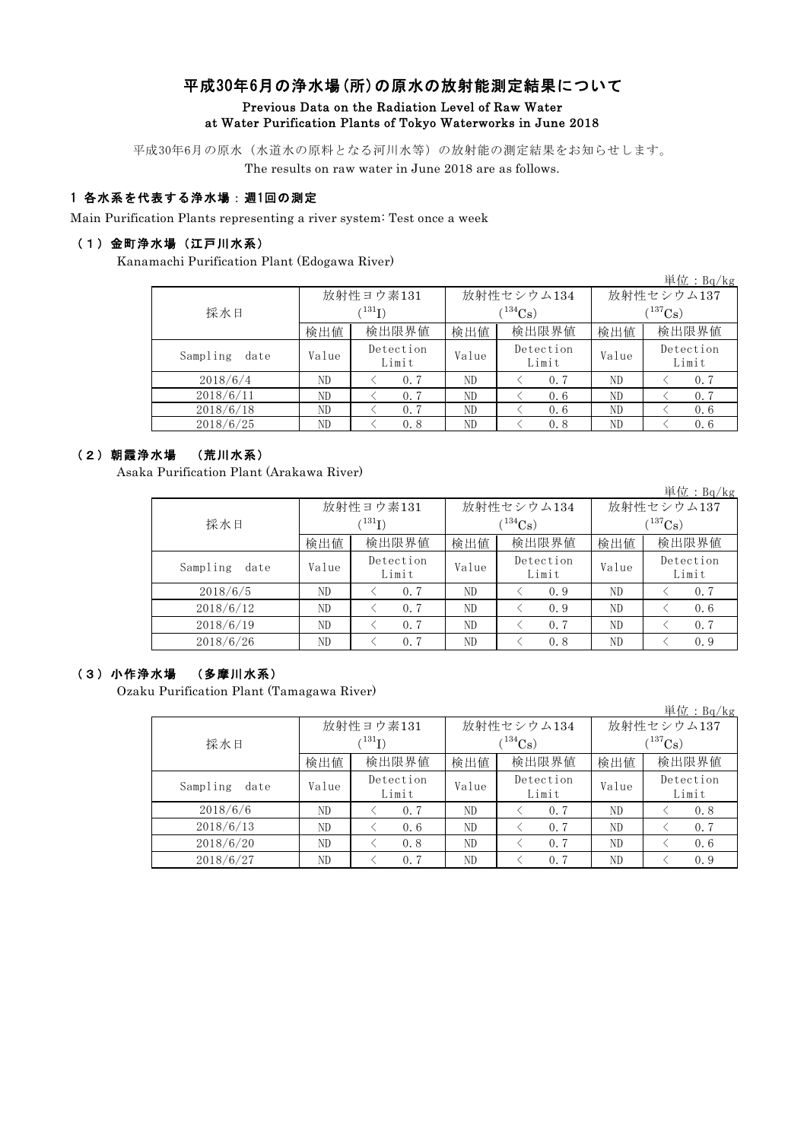# 平成30年6月の浄水場(所)の原水の放射能測定結果について

#### Previous Data on the Radiation Level of Raw Water at Water Purification Plants of Tokyo Waterworks in June 2018

平成30年6月の原水(水道水の原料となる河川水等)の放射能の測定結果をお知らせします。 The results on raw water in June 2018 are as follows.

## 1 各水系を代表する浄水場:週1回の測定

Main Purification Plants representing a river system: Test once a week

#### (1)金町浄水場(江戸川水系)

Kanamachi Purification Plant (Edogawa River)

|                  |       |                                                                                                                                                                                                                       |            |              | 単位: $Bq/kg$        |  |
|------------------|-------|-----------------------------------------------------------------------------------------------------------------------------------------------------------------------------------------------------------------------|------------|--------------|--------------------|--|
|                  |       | 放射性ヨウ素131                                                                                                                                                                                                             |            | 放射性セシウム137   |                    |  |
| 採水日              |       | $(^{131}\mathrm{I})$                                                                                                                                                                                                  | $(134)$ Cs | $(^{137}Cs)$ |                    |  |
|                  | 検出値   | 放射性セシウム134<br>検出値<br>検出限界値<br>検出限界値<br>検出値<br>Detection<br>Detection<br>Value<br>Value<br>Limit<br>Limit<br>ND.<br>0.7<br>ND.<br>0.7<br>ND.<br>ND<br>0.7<br>0.6<br>ND<br>ND.<br>0.7<br>0.6<br>0.8<br>ND<br>ND.<br>0.8 | 検出限界値      |              |                    |  |
| Sampling<br>date | Value |                                                                                                                                                                                                                       |            |              | Detection<br>Limit |  |
| 2018/6/4         | ND    |                                                                                                                                                                                                                       |            |              | 0.7                |  |
| 2018/6/11        | ND    |                                                                                                                                                                                                                       |            |              | 0.7                |  |
| 2018/6/18        | ND    |                                                                                                                                                                                                                       |            |              | 0.6                |  |
| 2018/6/25        | ND    |                                                                                                                                                                                                                       |            |              | 0.6                |  |

### (2)朝霞浄水場 (荒川水系)

Asaka Purification Plant (Arakawa River)

|                  |             |                                                                                                                                                                |       |            |             | 単位: $Bq/kg$        |  |
|------------------|-------------|----------------------------------------------------------------------------------------------------------------------------------------------------------------|-------|------------|-------------|--------------------|--|
|                  |             | 放射性ヨウ素131                                                                                                                                                      |       | 放射性セシウム134 | 放射性セシウム137  |                    |  |
| 採水日              | $^{131}$ I) |                                                                                                                                                                |       |            | $(137)$ Cs) |                    |  |
|                  | 検出値         | $(134)$ Cs<br>検出値<br>検出限界値<br>検出値<br>検出限界値<br>Detection<br>Detection<br>Value<br>Value<br>Limit<br>Limit<br>0.7<br>ND.<br>ND<br>0.9<br>ND.<br>ND<br>0.7<br>0.9 | 検出限界値 |            |             |                    |  |
| Sampling<br>date | Value       |                                                                                                                                                                |       |            |             | Detection<br>Limit |  |
| 2018/6/5         | ND          |                                                                                                                                                                |       |            |             | 0.7                |  |
| 2018/6/12        | ND          |                                                                                                                                                                |       |            |             | 0.6                |  |
| 2018/6/19        | ND          | 0.7                                                                                                                                                            | ND    | 0.7        | ND          | 0.7                |  |
| 2018/6/26        | ND          | 0.7                                                                                                                                                            | ND    | 0.8        | ND          | 0.9                |  |

#### (3)小作浄水場 (多摩川水系)

Ozaku Purification Plant (Tamagawa River)

|                  |                      |                    |       |                    |              | 単位: $Bq/kg$        |  |
|------------------|----------------------|--------------------|-------|--------------------|--------------|--------------------|--|
|                  |                      | 放射性ヨウ素131          |       | 放射性セシウム134         | 放射性セシウム137   |                    |  |
| 採水日              | $(^{131}\mathrm{I})$ |                    |       | $(^{134}Cs)$       | $(^{137}Cs)$ |                    |  |
|                  | 検出値                  | 検出限界値              | 検出値   | 検出限界値              | 検出値          | 検出限界値              |  |
| Sampling<br>date | Value                | Detection<br>Limit | Value | Detection<br>Limit | Value        | Detection<br>Limit |  |
| 2018/6/6         | ND                   | 0.7                | ND    | 0.7                | ND           | 0.8                |  |
| 2018/6/13        | ND.                  | 0.6                | ND    | 0.7                | ND           | 0.7                |  |
| 2018/6/20        | ND.                  | 0.8                | ND    | 0.7                | ND           | 0.6                |  |
| 2018/6/27        | ND                   | 0.7                | ND    | 0.7                | ND           | 0.9                |  |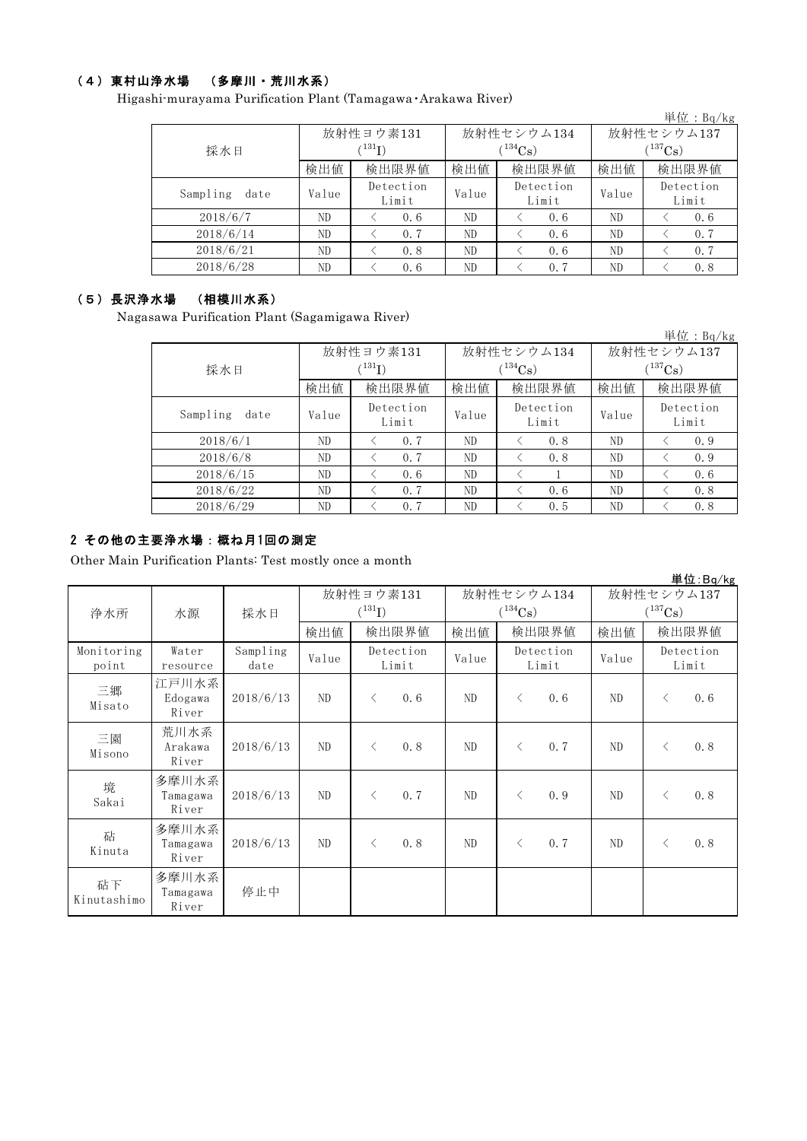### (4)東村山浄水場 (多摩川・荒川水系)

Higashi-murayama Purification Plant (Tamagawa・Arakawa River)

| ill illulayalla 1 urlikatibil 1 lalit (Talilagawa) Arakawa River/ |       |                             |                                                             |            |             |           |  |
|-------------------------------------------------------------------|-------|-----------------------------|-------------------------------------------------------------|------------|-------------|-----------|--|
|                                                                   |       |                             |                                                             |            |             | 単位:Bq/kg  |  |
|                                                                   |       | 放射性ヨウ素131                   |                                                             | 放射性セシウム134 | 放射性セシウム137  |           |  |
| 採水日                                                               |       | $\langle ^{131}\mathrm{I})$ |                                                             | $(134)$ Cs | $(137)$ Cs) |           |  |
|                                                                   | 検出値   | 検出限界値                       | 検出限界値<br>検出値<br>検出値<br>Detection<br>Value<br>Value<br>Limit | 検出限界値      |             |           |  |
| Sampling<br>date                                                  | Value | Detection                   |                                                             |            |             | Detection |  |
|                                                                   |       | Limit                       |                                                             |            |             | Limit     |  |
| 2018/6/7                                                          | ND.   | 0.6                         | ND                                                          | 0.6        | ND          | 0.6       |  |
| 2018/6/14                                                         | ND    | 0.7                         | ND                                                          | 0.6        | ND          | 0.7       |  |
| 2018/6/21                                                         | ND    | 0.8                         | ND                                                          | 0.6        | ND          | 0.7       |  |
| 2018/6/28                                                         | ND    | 0.6                         | ND                                                          | 0.7        | ND          | 0.8       |  |

## (5)長沢浄水場 (相模川水系)

Nagasawa Purification Plant (Sagamigawa River)

| sawa Purification Plant (Sagamigawa Kiver) |                      |                    |       |                    |            |                    |  |
|--------------------------------------------|----------------------|--------------------|-------|--------------------|------------|--------------------|--|
|                                            |                      |                    |       |                    |            | 単位: $Bq/kg$        |  |
|                                            |                      | 放射性ヨウ素131          |       | 放射性セシウム134         | 放射性セシウム137 |                    |  |
| 採水日                                        | $(^{131}\mathrm{I})$ |                    |       | $(^{134}Cs)$       | $(137)$ Cs |                    |  |
|                                            | 検出値                  | 検出限界値              | 検出値   | 検出限界値              | 検出値        | 検出限界値              |  |
| Sampling<br>date                           | Value                | Detection<br>Limit | Value | Detection<br>Limit | Value      | Detection<br>Limit |  |
| 2018/6/1                                   | ND                   | 0.7                | ND.   | 0.8                | ND         | 0.9                |  |
| 2018/6/8                                   | ND                   | 0.7                | ND.   | 0.8                | ND.        | 0.9                |  |
| 2018/6/15                                  | ND                   | 0.6                | ND    |                    | ND.        | 0.6                |  |
| 2018/6/22                                  | ND                   | 0.7                | ND    | 0.6                | ND.        | 0.8                |  |
| 2018/6/29                                  | ND.                  | 0.7                | ND    | 0.5                | ND         | 0.8                |  |

### 2 その他の主要浄水場:概ね月1回の測定

Other Main Purification Plants: Test mostly once a month

|                     |                            |                  |                          |           |                            |       |           |                            |       |       | 単位:Bq/kg           |
|---------------------|----------------------------|------------------|--------------------------|-----------|----------------------------|-------|-----------|----------------------------|-------|-------|--------------------|
| 浄水所                 | 水源                         | 採水日              | 放射性ヨウ素131<br>$(^{131}I)$ |           | 放射性セシウム134<br>$(^{134}Cs)$ |       |           | 放射性セシウム137<br>$(^{137}Cs)$ |       |       |                    |
|                     |                            |                  | 検出値                      |           | 検出限界値                      | 検出値   |           | 検出限界値                      | 検出値   |       | 検出限界値              |
| Monitoring<br>point | Water<br>resource          | Sampling<br>date | Value                    |           | Detection<br>Limit         | Value |           | Detection<br>Limit         | Value |       | Detection<br>Limit |
| 三郷<br>Misato        | 江戸川水系<br>Edogawa<br>River  | 2018/6/13        | ND                       | $\langle$ | 0.6                        | ND.   | $\langle$ | 0.6                        | ND    | $\lt$ | 0.6                |
| 三園<br>Misono        | 荒川水系<br>Arakawa<br>River   | 2018/6/13        | ND                       | $\langle$ | 0.8                        | ND    | $\lt$     | 0.7                        | ND    | $\lt$ | 0.8                |
| 境<br>Sakai          | 多摩川水系<br>Tamagawa<br>River | 2018/6/13        | ND                       | $\langle$ | 0.7                        | ND    | $\langle$ | 0.9                        | ND.   | $\lt$ | 0.8                |
| 砧<br>Kinuta         | 多摩川水系<br>Tamagawa<br>River | 2018/6/13        | ND                       | ✓         | 0.8                        | ND    | $\lt$     | 0.7                        | ND    | $\lt$ | 0.8                |
| 砧下<br>Kinutashimo   | 多摩川水系<br>Tamagawa<br>River | 停止中              |                          |           |                            |       |           |                            |       |       |                    |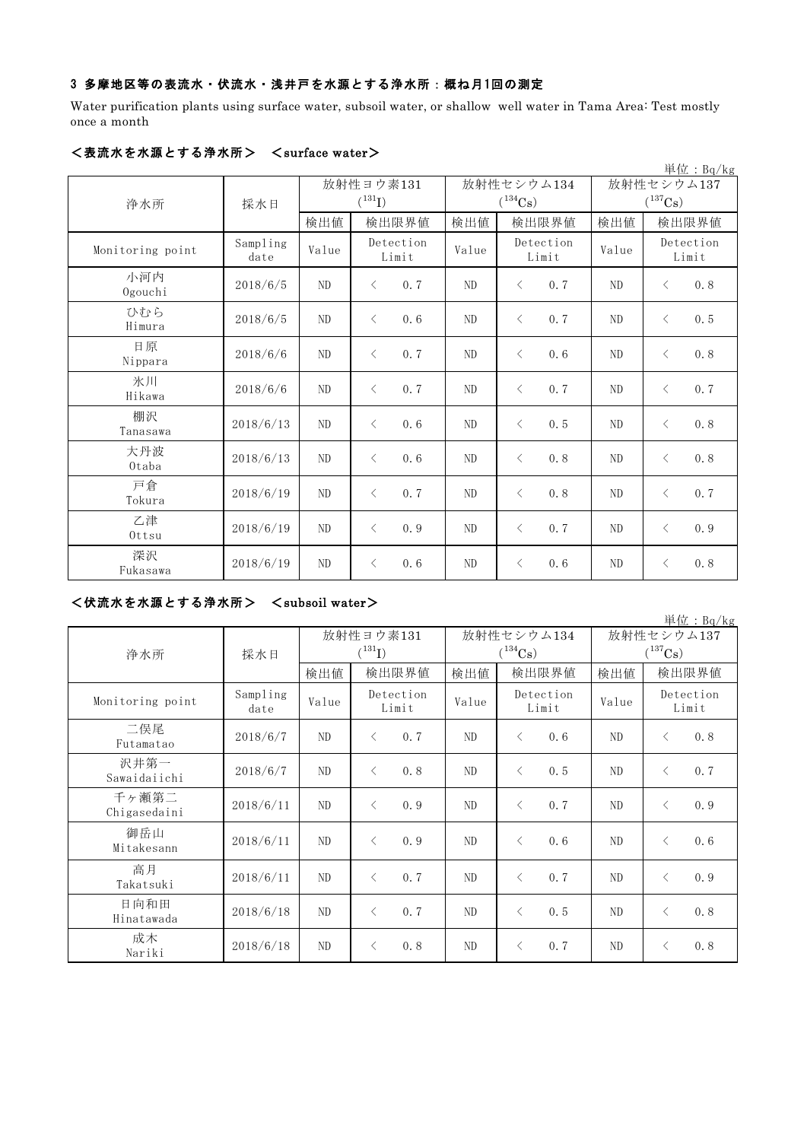### 3 多摩地区等の表流水・伏流水・浅井戸を水源とする浄水所:概ね月1回の測定

Water purification plants using surface water, subsoil water, or shallow well water in Tama Area: Test mostly once a month

|                  |                  |                |                    |                |                    |       | 単位: Bq/kg             |  |
|------------------|------------------|----------------|--------------------|----------------|--------------------|-------|-----------------------|--|
|                  |                  |                | 放射性ヨウ素131          |                | 放射性セシウム134         |       | 放射性セシウム137            |  |
| 浄水所              | 採水日              |                | $(^{131}I)$        |                | $(^{134}Cs)$       |       | $(^{137}\mathrm{Cs})$ |  |
|                  |                  | 検出値            | 検出限界値              | 検出値            | 検出限界値              | 検出値   | 検出限界値                 |  |
| Monitoring point | Sampling<br>date | Value          | Detection<br>Limit | Value          | Detection<br>Limit | Value | Detection<br>Limit    |  |
| 小河内<br>Ogouchi   | 2018/6/5         | ND             | 0.7<br>$\langle$   | ND             | 0.7<br>$\langle$   | ND    | 0.8<br>$\lt$          |  |
| ひむら<br>Himura    | 2018/6/5         | N <sub>D</sub> | 0.6<br>$\langle$   | N <sub>D</sub> | 0.7<br>$\langle$   | ND    | 0.5<br>$\langle$      |  |
| 日原<br>Nippara    | 2018/6/6         | N <sub>D</sub> | 0.7<br>$\lt$       | N <sub>D</sub> | 0.6<br>$\lt$       | ND    | 0.8<br>$\langle$      |  |
| 氷川<br>Hikawa     | 2018/6/6         | ND             | 0.7<br>$\langle$   | ND             | 0.7<br>$\lt$       | ND    | 0.7<br>$\langle$      |  |
| 棚沢<br>Tanasawa   | 2018/6/13        | N <sub>D</sub> | 0.6<br>$\langle$   | ND             | 0.5<br>$\lt$       | ND    | 0.8<br>$\lt$          |  |
| 大丹波<br>Otaba     | 2018/6/13        | N <sub>D</sub> | $\langle$<br>0.6   | ND             | 0.8<br>$\lt$       | ND    | 0.8<br>$\langle$      |  |
| 戸倉<br>Tokura     | 2018/6/19        | ND             | 0.7<br>$\langle$   | ND             | 0.8<br>$\langle$   | ND    | 0.7<br>$\langle$      |  |
| 乙津<br>Ottsu      | 2018/6/19        | N <sub>D</sub> | 0.9<br>$\langle$   | ND             | 0.7<br>$\langle$   | ND    | 0.9<br>$\langle$      |  |
| 深沢<br>Fukasawa   | 2018/6/19        | N <sub>D</sub> | 0.6<br>$\langle$   | N <sub>D</sub> | 0.6<br>$\lt$       | ND    | 0.8<br>$\lt$          |  |

### <表流水を水源とする浄水所> <surface water>

## <伏流水を水源とする浄水所> <subsoil water>

|                       |                  |                          |                    |       |                                     |                            | 単位: Bq/kg          |
|-----------------------|------------------|--------------------------|--------------------|-------|-------------------------------------|----------------------------|--------------------|
| 浄水所                   | 採水日              | 放射性ヨウ素131<br>$(^{131}I)$ |                    |       | 放射性セシウム134<br>$(^{134}\mathrm{Cs})$ | 放射性セシウム137<br>$(^{137}Cs)$ |                    |
|                       |                  | 検出値                      | 検出限界値              | 検出値   | 検出限界値                               | 検出値                        | 検出限界値              |
| Monitoring point      | Sampling<br>date | Value                    | Detection<br>Limit | Value | Detection<br>Limit                  | Value                      | Detection<br>Limit |
| 二俣尾<br>Futamatao      | 2018/6/7         | N <sub>D</sub>           | 0.7<br>$\langle$   | ND    | 0.6<br>$\langle$                    | ND                         | 0.8<br>$\langle$   |
| 沢井第一<br>Sawaidaiichi  | 2018/6/7         | N <sub>D</sub>           | 0.8<br>$\langle$   | ND    | $\langle$<br>0.5                    | ND                         | $\lt$<br>0.7       |
| 千ヶ瀬第二<br>Chigasedaini | 2018/6/11        | N <sub>D</sub>           | 0.9<br>$\langle$   | ND    | 0.7<br>$\lt$                        | ND                         | 0.9<br>$\langle$   |
| 御岳山<br>Mitakesann     | 2018/6/11        | N <sub>D</sub>           | $\langle$<br>0.9   | ND    | $\langle$<br>0.6                    | ND                         | 0.6<br>$\langle$   |
| 高月<br>Takatsuki       | 2018/6/11        | N <sub>D</sub>           | 0.7<br>$\langle$   | ND.   | 0.7<br>$\langle$                    | N <sub>D</sub>             | 0.9<br>$\lt$       |
| 日向和田<br>Hinatawada    | 2018/6/18        | ND                       | 0.7<br>$\lt$       | ND    | $\langle$<br>0.5                    | ND                         | $\langle$<br>0.8   |
| 成木<br>Nariki          | 2018/6/18        | ND                       | 0.8<br>$\langle$   | ND    | 0.7<br>$\langle$                    | ND                         | 0.8<br>$\lt$       |